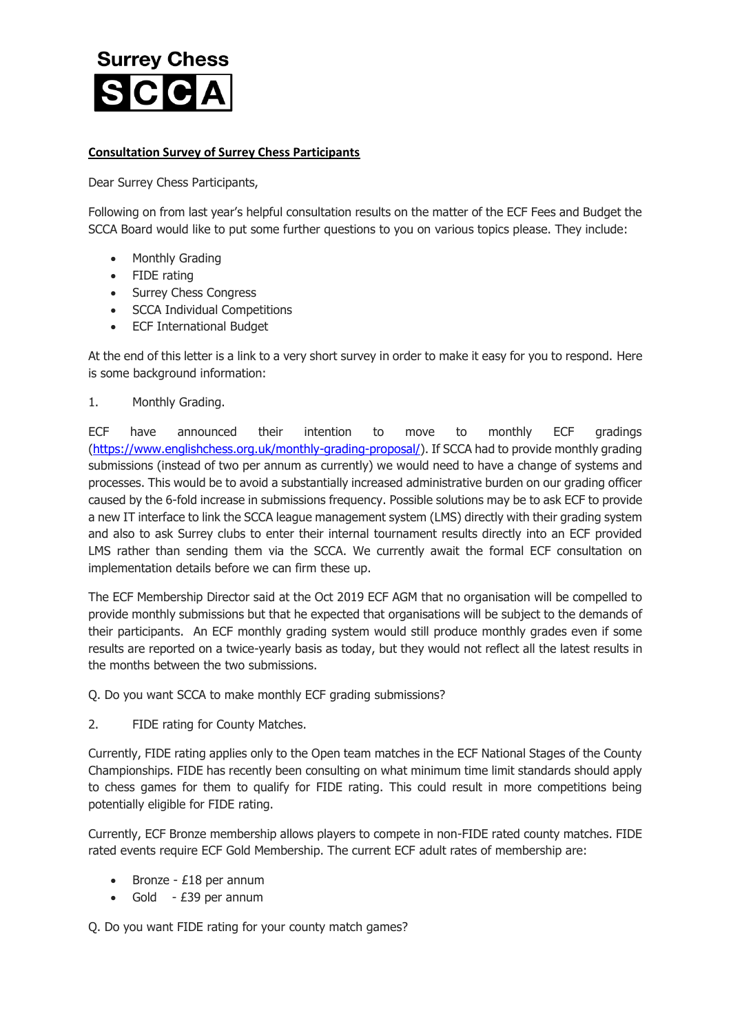## **Surrey Chess**

## **Consultation Survey of Surrey Chess Participants**

Dear Surrey Chess Participants,

Following on from last year's helpful consultation results on the matter of the ECF Fees and Budget the SCCA Board would like to put some further questions to you on various topics please. They include:

- Monthly Grading
- FIDE rating
- Surrey Chess Congress
- SCCA Individual Competitions
- ECF International Budget

At the end of this letter is a link to a very short survey in order to make it easy for you to respond. Here is some background information:

1. Monthly Grading.

ECF have announced their intention to move to monthly ECF gradings [\(https://www.englishchess.org.uk/monthly-grading-proposal/\)](https://www.englishchess.org.uk/monthly-grading-proposal/). If SCCA had to provide monthly grading submissions (instead of two per annum as currently) we would need to have a change of systems and processes. This would be to avoid a substantially increased administrative burden on our grading officer caused by the 6-fold increase in submissions frequency. Possible solutions may be to ask ECF to provide a new IT interface to link the SCCA league management system (LMS) directly with their grading system and also to ask Surrey clubs to enter their internal tournament results directly into an ECF provided LMS rather than sending them via the SCCA. We currently await the formal ECF consultation on implementation details before we can firm these up.

The ECF Membership Director said at the Oct 2019 ECF AGM that no organisation will be compelled to provide monthly submissions but that he expected that organisations will be subject to the demands of their participants. An ECF monthly grading system would still produce monthly grades even if some results are reported on a twice-yearly basis as today, but they would not reflect all the latest results in the months between the two submissions.

Q. Do you want SCCA to make monthly ECF grading submissions?

2. FIDE rating for County Matches.

Currently, FIDE rating applies only to the Open team matches in the ECF National Stages of the County Championships. FIDE has recently been consulting on what minimum time limit standards should apply to chess games for them to qualify for FIDE rating. This could result in more competitions being potentially eligible for FIDE rating.

Currently, ECF Bronze membership allows players to compete in non-FIDE rated county matches. FIDE rated events require ECF Gold Membership. The current ECF adult rates of membership are:

- Bronze £18 per annum
- Gold £39 per annum

Q. Do you want FIDE rating for your county match games?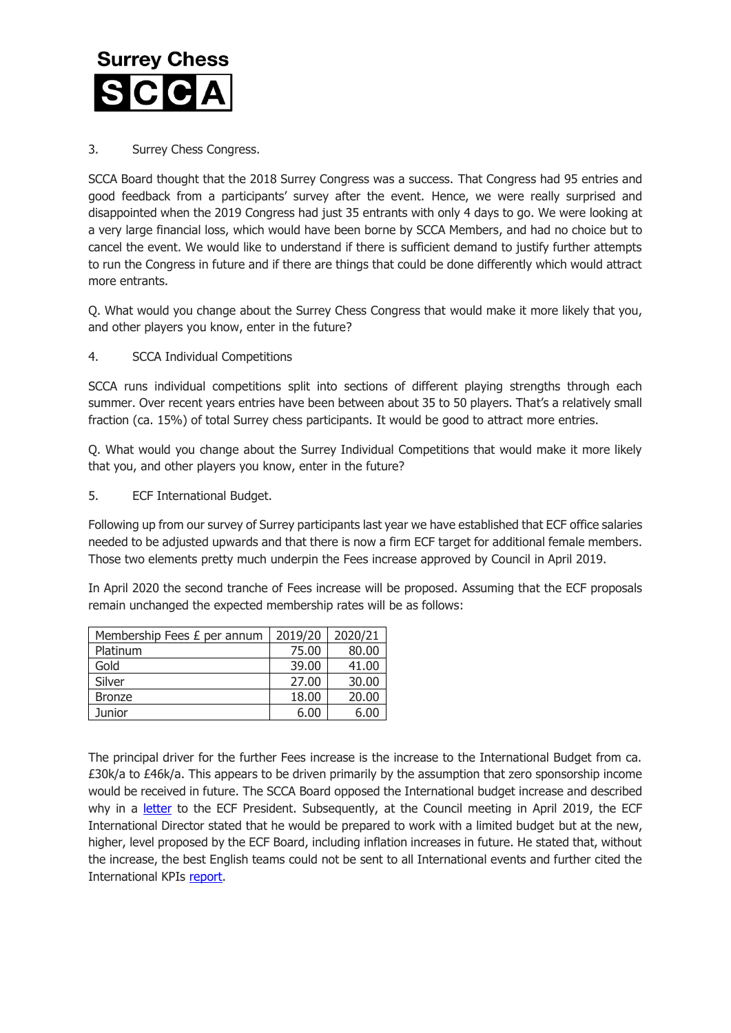

## 3. Surrey Chess Congress.

SCCA Board thought that the 2018 Surrey Congress was a success. That Congress had 95 entries and good feedback from a participants' survey after the event. Hence, we were really surprised and disappointed when the 2019 Congress had just 35 entrants with only 4 days to go. We were looking at a very large financial loss, which would have been borne by SCCA Members, and had no choice but to cancel the event. We would like to understand if there is sufficient demand to justify further attempts to run the Congress in future and if there are things that could be done differently which would attract more entrants.

Q. What would you change about the Surrey Chess Congress that would make it more likely that you, and other players you know, enter in the future?

4. SCCA Individual Competitions

SCCA runs individual competitions split into sections of different playing strengths through each summer. Over recent years entries have been between about 35 to 50 players. That's a relatively small fraction (ca. 15%) of total Surrey chess participants. It would be good to attract more entries.

Q. What would you change about the Surrey Individual Competitions that would make it more likely that you, and other players you know, enter in the future?

5. ECF International Budget.

Following up from our survey of Surrey participants last year we have established that ECF office salaries needed to be adjusted upwards and that there is now a firm ECF target for additional female members. Those two elements pretty much underpin the Fees increase approved by Council in April 2019.

In April 2020 the second tranche of Fees increase will be proposed. Assuming that the ECF proposals remain unchanged the expected membership rates will be as follows:

| Membership Fees £ per annum | 2019/20 | 2020/21 |
|-----------------------------|---------|---------|
| Platinum                    | 75.00   | 80.00   |
| Gold                        | 39.00   | 41.00   |
| Silver                      | 27.00   | 30.00   |
| <b>Bronze</b>               | 18.00   | 20.00   |
| Junior                      | 6.00    | 6.00    |

The principal driver for the further Fees increase is the increase to the International Budget from ca. £30k/a to £46k/a. This appears to be driven primarily by the assumption that zero sponsorship income would be received in future. The SCCA Board opposed the International budget increase and described why in a [letter](http://www.scca.co.uk/SCCA/docs/Letter%20to%20Mike%20Truran%20re%20Fees%2015%20March%202019%20FINAL.pdf) to the ECF President. Subsequently, at the Council meeting in April 2019, the ECF International Director stated that he would be prepared to work with a limited budget but at the new, higher, level proposed by the ECF Board, including inflation increases in future. He stated that, without the increase, the best English teams could not be sent to all International events and further cited the International KPIs [report.](https://www.englishchess.org.uk/wp-content/uploads/2019/04/C30.7-ii-International-Directorate-KPIs-report.pdf)